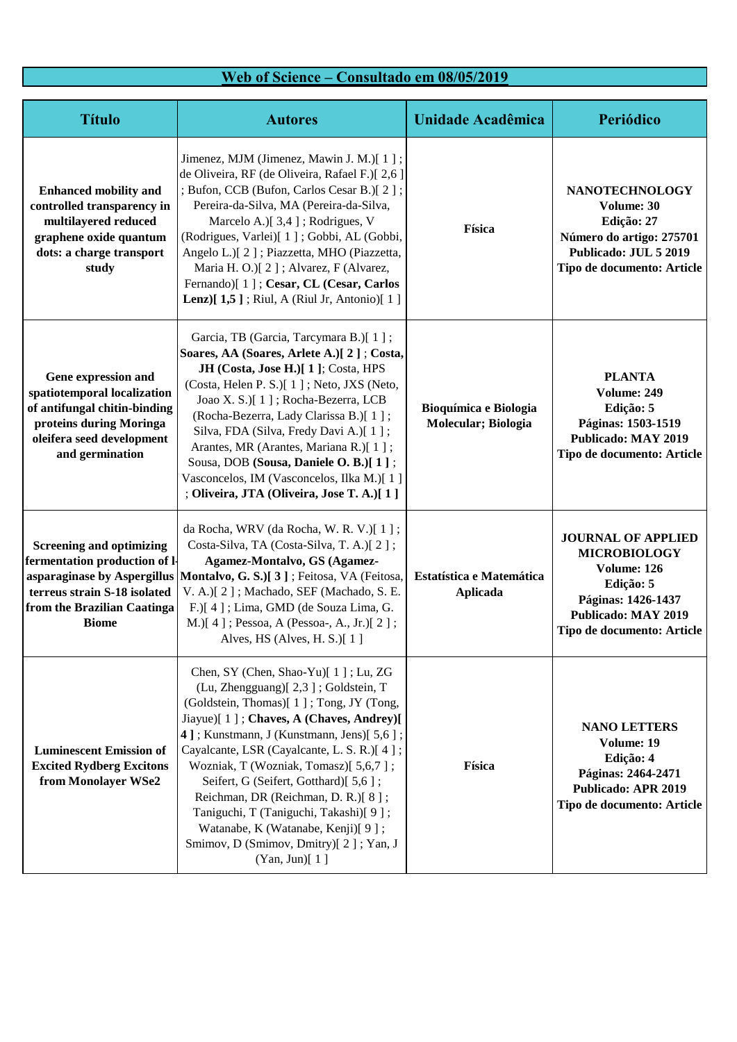## **Web of Science – Consultado em 08/05/2019**

| <b>Título</b>                                                                                                                                                                  | <b>Autores</b>                                                                                                                                                                                                                                                                                                                                                                                                                                                                                                              | Unidade Acadêmica                            | Periódico                                                                                                                                                      |
|--------------------------------------------------------------------------------------------------------------------------------------------------------------------------------|-----------------------------------------------------------------------------------------------------------------------------------------------------------------------------------------------------------------------------------------------------------------------------------------------------------------------------------------------------------------------------------------------------------------------------------------------------------------------------------------------------------------------------|----------------------------------------------|----------------------------------------------------------------------------------------------------------------------------------------------------------------|
| <b>Enhanced mobility and</b><br>controlled transparency in<br>multilayered reduced<br>graphene oxide quantum<br>dots: a charge transport<br>study                              | Jimenez, MJM (Jimenez, Mawin J. M.)[1];<br>de Oliveira, RF (de Oliveira, Rafael F.)[ 2,6 ]<br>; Bufon, CCB (Bufon, Carlos Cesar B.)[2];<br>Pereira-da-Silva, MA (Pereira-da-Silva,<br>Marcelo A.)[ 3,4 ]; Rodrigues, V<br>(Rodrigues, Varlei)[1]; Gobbi, AL (Gobbi,<br>Angelo L.)[2]; Piazzetta, MHO (Piazzetta,<br>Maria H. O.)[2]; Alvarez, F (Alvarez,<br>Fernando)[1]; Cesar, CL (Cesar, Carlos<br><b>Lenz</b> ) $[1,5]$ ; Riul, A (Riul Jr, Antonio) $[1]$                                                             | Física                                       | <b>NANOTECHNOLOGY</b><br>Volume: 30<br>Edição: 27<br>Número do artigo: 275701<br>Publicado: JUL 5 2019<br>Tipo de documento: Article                           |
| Gene expression and<br>spatiotemporal localization<br>of antifungal chitin-binding<br>proteins during Moringa<br>oleifera seed development<br>and germination                  | Garcia, TB (Garcia, Tarcymara B.)[1];<br>Soares, AA (Soares, Arlete A.)[2]; Costa,<br>JH (Costa, Jose H.)[ 1 ]; Costa, HPS<br>(Costa, Helen P. S.)[1]; Neto, JXS (Neto,<br>Joao X. S.)[1]; Rocha-Bezerra, LCB<br>(Rocha-Bezerra, Lady Clarissa B.)[1];<br>Silva, FDA (Silva, Fredy Davi A.)[1];<br>Arantes, MR (Arantes, Mariana R.)[1];<br>Sousa, DOB (Sousa, Daniele O. B.)[1];<br>Vasconcelos, IM (Vasconcelos, Ilka M.)[1]<br>; Oliveira, JTA (Oliveira, Jose T. A.)[1]                                                 | Bioquímica e Biologia<br>Molecular; Biologia | <b>PLANTA</b><br>Volume: 249<br>Edição: 5<br>Páginas: 1503-1519<br><b>Publicado: MAY 2019</b><br>Tipo de documento: Article                                    |
| <b>Screening and optimizing</b><br>fermentation production of l-<br>asparaginase by Aspergillus<br>terreus strain S-18 isolated<br>from the Brazilian Caatinga<br><b>Biome</b> | da Rocha, WRV (da Rocha, W. R. V.)[1];<br>Costa-Silva, TA (Costa-Silva, T. A.)[2];<br>Agamez-Montalvo, GS (Agamez-<br>Montalvo, G. S.)[3]; Feitosa, VA (Feitosa,<br>V. A.)[2]; Machado, SEF (Machado, S. E.<br>F.)[4]; Lima, GMD (de Souza Lima, G.<br>M.)[4]; Pessoa, A (Pessoa-, A., Jr.)[2];<br>Alves, HS (Alves, H. S.)[ 1]                                                                                                                                                                                             | Estatística e Matemática<br><b>Aplicada</b>  | <b>JOURNAL OF APPLIED</b><br><b>MICROBIOLOGY</b><br>Volume: 126<br>Edição: 5<br>Páginas: 1426-1437<br><b>Publicado: MAY 2019</b><br>Tipo de documento: Article |
| <b>Luminescent Emission of</b><br><b>Excited Rydberg Excitons</b><br>from Monolayer WSe2                                                                                       | Chen, SY (Chen, Shao-Yu)[1]; Lu, ZG<br>(Lu, Zhengguang)[2,3]; Goldstein, T<br>(Goldstein, Thomas)[1]; Tong, JY (Tong,<br>Jiayue)[1]; Chaves, A (Chaves, Andrey)[<br>4]; Kunstmann, J (Kunstmann, Jens)[5,6];<br>Cayalcante, LSR (Cayalcante, L. S. R.)[4];<br>Wozniak, T (Wozniak, Tomasz)[5,6,7];<br>Seifert, G (Seifert, Gotthard)[ 5,6];<br>Reichman, DR (Reichman, D. R.)[8];<br>Taniguchi, T (Taniguchi, Takashi)[ 9 ];<br>Watanabe, K (Watanabe, Kenji)[9];<br>Smimov, D (Smimov, Dmitry)[2]; Yan, J<br>(Yan, Jun)[1] | Física                                       | <b>NANO LETTERS</b><br>Volume: 19<br>Edição: 4<br>Páginas: 2464-2471<br><b>Publicado: APR 2019</b><br>Tipo de documento: Article                               |